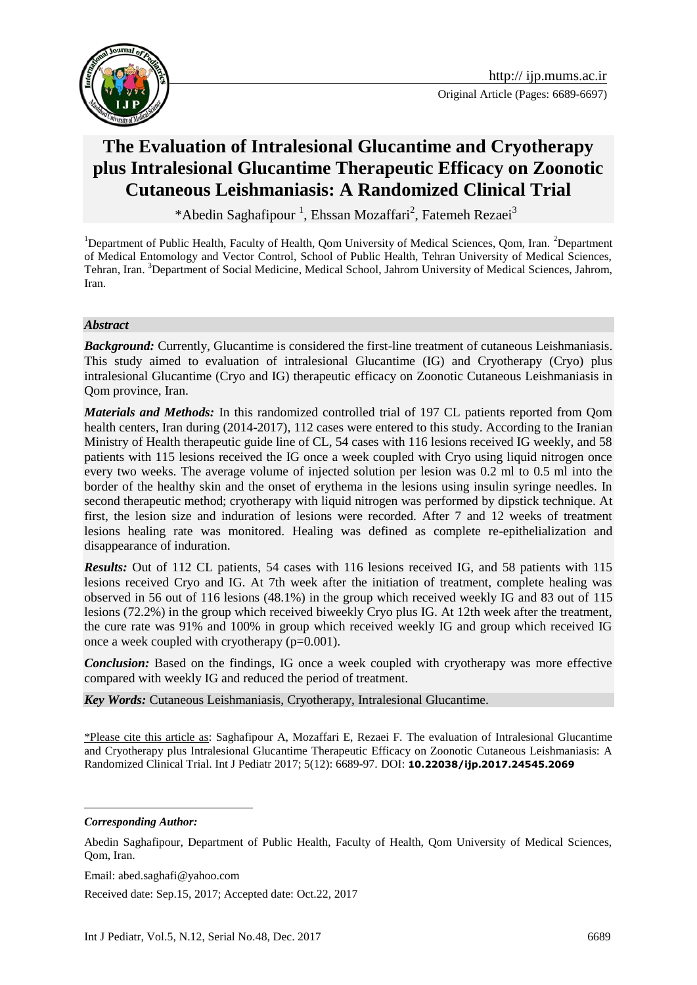



# **[The Evaluation of](https://www.google.com/url?sa=t&rct=j&q=&esrc=s&source=web&cd=9&cad=rja&uact=8&ved=0ahUKEwjKz5Dq7bfUAhXQaVAKHQ9WAVsQFghhMAg&url=http%3A%2F%2Frcm.mums.ac.ir%2Farticle_2794.html&usg=AFQjCNHpdTH8QkMV0adDnPPMb2B4TA_kjQ) Intralesional Glucantime and Cryotherapy plus Intralesional Glucantime Therapeutic Efficacy on Zoonotic Cutaneous Leishmaniasis: A Randomized Clinical Trial**

\*Abedin Saghafipour<sup>1</sup>, Ehssan Mozaffari<sup>2</sup>, Fatemeh Rezaei<sup>3</sup>

<sup>1</sup>Department of Public Health, Faculty of Health, Qom University of Medical Sciences, Qom, Iran. <sup>2</sup>Department of Medical Entomology and Vector Control, School of Public Health, Tehran University of Medical Sciences, Tehran, Iran. <sup>3</sup>Department of Social Medicine, Medical School, Jahrom University of Medical Sciences, Jahrom, Iran.

#### *Abstract*

**Background:** Currently, Glucantime is considered the first-line treatment of cutaneous Leishmaniasis. This study aimed [to evaluation of](https://www.google.com/url?sa=t&rct=j&q=&esrc=s&source=web&cd=9&cad=rja&uact=8&ved=0ahUKEwjKz5Dq7bfUAhXQaVAKHQ9WAVsQFghhMAg&url=http%3A%2F%2Frcm.mums.ac.ir%2Farticle_2794.html&usg=AFQjCNHpdTH8QkMV0adDnPPMb2B4TA_kjQ) intralesional Glucantime (IG) and Cryotherapy (Cryo) plus intralesional Glucantime (Cryo and IG) therapeutic efficacy on Zoonotic Cutaneous Leishmaniasis in Qom province, Iran.

*Materials and Methods:* In this randomized controlled trial of 197 CL patients reported from Qom health centers, Iran during (2014-2017), 112 cases were entered to this study. According to the Iranian Ministry of Health therapeutic guide line of CL, 54 cases with 116 lesions received IG weekly, and 58 patients with 115 lesions received the IG once a week coupled with Cryo using liquid nitrogen once every two weeks. The average volume of injected solution per lesion was 0.2 ml to 0.5 ml into the border of the healthy skin and the onset of erythema in the lesions using insulin syringe needles. In second therapeutic method; cryotherapy with liquid nitrogen was performed by dipstick technique. At first, the lesion size and induration of lesions were recorded. After 7 and 12 weeks of treatment lesions healing rate was monitored. Healing was defined as complete re-epithelialization and disappearance of induration.

*Results:* Out of 112 CL patients, 54 cases with 116 lesions received IG, and 58 patients with 115 lesions received Cryo and IG. At 7th week after the initiation of treatment, complete healing was observed in 56 out of 116 lesions (48.1%) in the group which received weekly IG and 83 out of 115 lesions (72.2%) in the group which received biweekly Cryo plus IG. At 12th week after the treatment, the cure rate was 91% and 100% in group which received weekly IG and group which received IG once a week coupled with cryotherapy (p=0.001).

*Conclusion:* Based on the findings, IG once a week coupled with cryotherapy was more effective compared with weekly IG and reduced the period of treatment.

*Key Words:* Cutaneous Leishmaniasis, Cryotherapy, Intralesional Glucantime.

\*Please cite this article as: Saghafipour A, Mozaffari E, Rezaei F. [The evaluation of](https://www.google.com/url?sa=t&rct=j&q=&esrc=s&source=web&cd=9&cad=rja&uact=8&ved=0ahUKEwjKz5Dq7bfUAhXQaVAKHQ9WAVsQFghhMAg&url=http%3A%2F%2Frcm.mums.ac.ir%2Farticle_2794.html&usg=AFQjCNHpdTH8QkMV0adDnPPMb2B4TA_kjQ) Intralesional Glucantime and Cryotherapy plus Intralesional Glucantime Therapeutic Efficacy on Zoonotic Cutaneous Leishmaniasis: A Randomized Clinical Trial. Int J Pediatr 2017; 5(12): 6689-97. DOI: **10.22038/ijp.2017.24545.2069**

*Corresponding Author:*

<u>.</u>

Email: abed.saghafi@yahoo.com

Received date: Sep.15, 2017; Accepted date: Oct.22, 2017

Abedin Saghafipour, Department of Public Health, Faculty of Health, Qom University of Medical Sciences, Qom, Iran.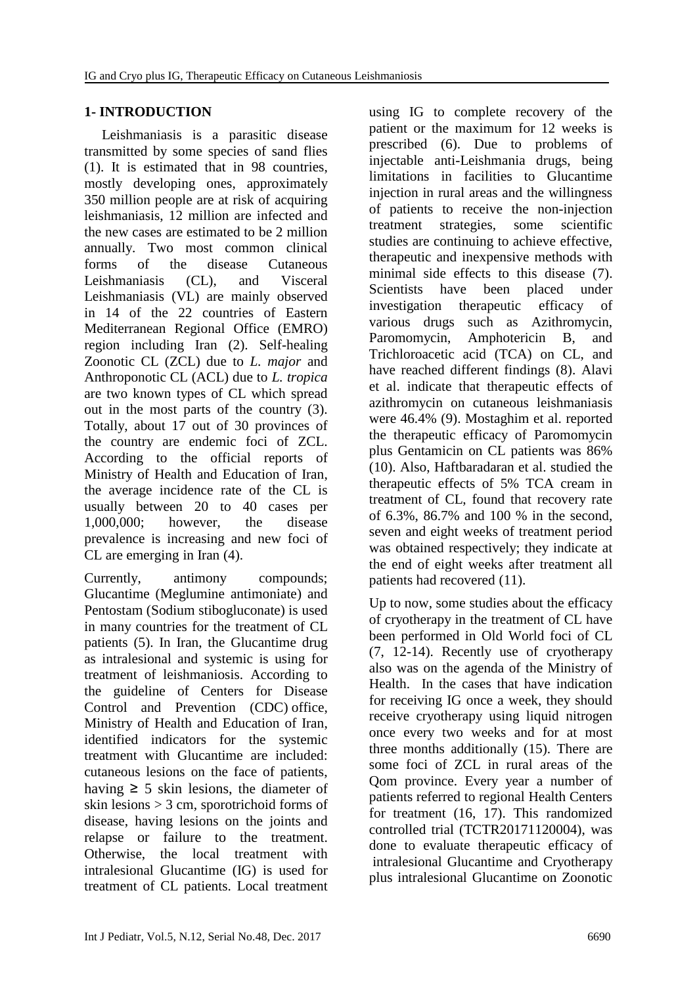## **1- INTRODUCTION**

 Leishmaniasis is a parasitic disease transmitted by some species of sand flies (1). It is estimated that in 98 countries, mostly developing ones, approximately 350 million people are at risk of acquiring leishmaniasis, 12 million are infected and the new cases are estimated to be 2 million annually. Two most common clinical forms of the disease Cutaneous Leishmaniasis (CL), and Visceral Leishmaniasis (VL) are mainly observed in 14 of the 22 countries of Eastern Mediterranean Regional Office (EMRO) region including Iran (2). Self-healing Zoonotic CL (ZCL) due to *L. major* and Anthroponotic CL (ACL) due to *L. tropica* are two known types of CL which spread out in the most parts of the country (3). Totally, about 17 out of 30 provinces of the country are endemic foci of ZCL. According to the official reports of [Ministry of Health and Education of Iran,](https://www.google.com/url?sa=t&rct=j&q=&esrc=s&source=web&cd=5&cad=rja&uact=8&ved=0ahUKEwiXy-i_57XXAhVQ5KQKHc5_AWgQFgg5MAQ&url=https%3A%2F%2Fwww.linkedin.com%2Fcompany%2Fministry-of-health-and-education-of-iran&usg=AOvVaw0PTmLJjdFY3uehI9rlyMY5) the average incidence rate of the CL is usually between 20 to 40 cases per 1,000,000; however, the disease prevalence is increasing and new foci of CL are emerging in Iran (4).

Currently, antimony compounds; Glucantime (Meglumine antimoniate) and Pentostam (Sodium stibogluconate) is used in many countries for the treatment of CL patients (5). In Iran, the Glucantime drug as intralesional and systemic is using for treatment of leishmaniosis. According to the guideline of [Centers for Disease](https://www.cdc.gov/)  [Control and Prevention](https://www.cdc.gov/) (CDC) office, [Ministry of Health and Education of Iran,](https://www.google.com/url?sa=t&rct=j&q=&esrc=s&source=web&cd=5&cad=rja&uact=8&ved=0ahUKEwiXy-i_57XXAhVQ5KQKHc5_AWgQFgg5MAQ&url=https%3A%2F%2Fwww.linkedin.com%2Fcompany%2Fministry-of-health-and-education-of-iran&usg=AOvVaw0PTmLJjdFY3uehI9rlyMY5) identified indicators for the systemic treatment with Glucantime are included: cutaneous lesions on the face of patients, having  $\geq$  5 skin lesions, the diameter of skin lesions > 3 cm, sporotrichoid forms of disease, having lesions on the joints and relapse or failure to the treatment. Otherwise, the local treatment with intralesional Glucantime (IG) is used for treatment of CL patients. Local treatment using IG to complete recovery of the patient or the maximum for 12 weeks is prescribed (6). Due to problems of injectable anti-Leishmania drugs, being limitations in facilities to Glucantime injection in rural areas and the willingness of patients to receive the non-injection treatment strategies, some scientific studies are continuing to achieve effective, therapeutic and inexpensive methods with minimal side effects to this disease (7). Scientists have been placed under investigation therapeutic efficacy of various drugs such as Azithromycin, Paromomycin, Amphotericin B, and Trichloroacetic acid (TCA) on CL, and have reached different findings (8). Alavi et al. indicate that therapeutic effects of azithromycin on cutaneous leishmaniasis were 46.4% (9). Mostaghim et al. reported the therapeutic efficacy of Paromomycin plus Gentamicin on CL patients was 86% (10). Also, Haftbaradaran et al. studied the therapeutic effects of 5% TCA cream in treatment of CL, found that recovery rate of 6.3%, 86.7% and 100 % in the second, seven and eight weeks of treatment period was obtained respectively; they indicate at the end of eight weeks after treatment all patients had recovered (11).

Up to now, some studies about the efficacy of cryotherapy in the treatment of CL have been performed in Old World foci of CL (7, 12-14). Recently use of cryotherapy also was on the agenda of the Ministry of Health. In the cases that have indication for receiving IG once a week, they should receive cryotherapy using liquid nitrogen once every two weeks and for at most three months additionally (15). There are some foci of ZCL in rural areas of the Qom province. Every year a number of patients referred to regional Health Centers for treatment (16, 17). This randomized controlled trial (TCTR20171120004), was done to evaluate therapeutic efficacy [of](https://www.google.com/url?sa=t&rct=j&q=&esrc=s&source=web&cd=9&cad=rja&uact=8&ved=0ahUKEwjKz5Dq7bfUAhXQaVAKHQ9WAVsQFghhMAg&url=http%3A%2F%2Frcm.mums.ac.ir%2Farticle_2794.html&usg=AFQjCNHpdTH8QkMV0adDnPPMb2B4TA_kjQ) intralesional Glucantime and Cryotherapy plus intralesional Glucantime on Zoonotic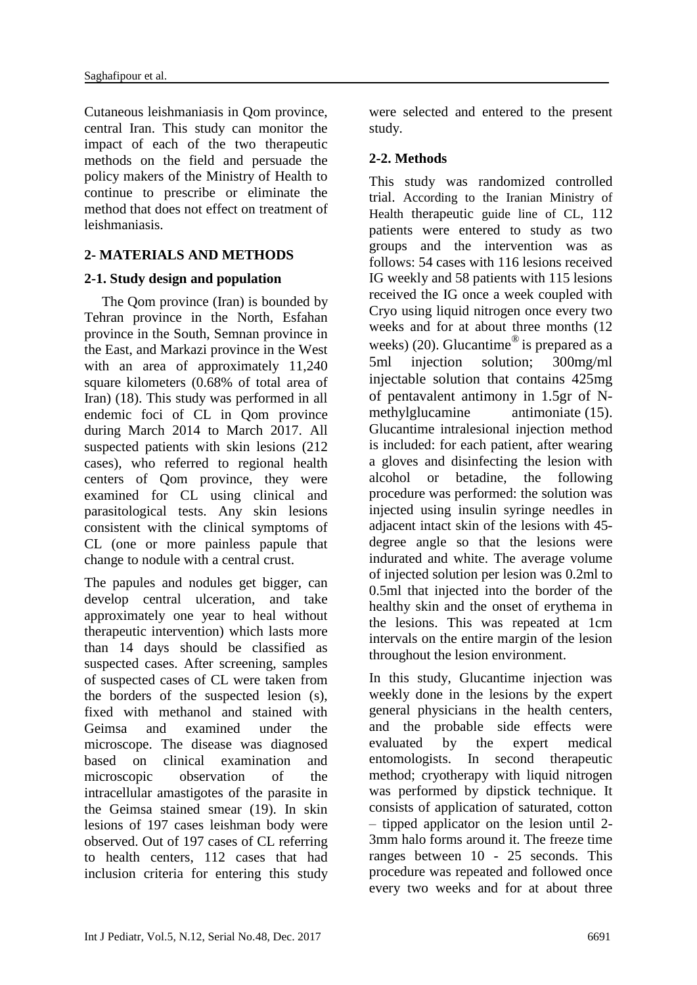Cutaneous leishmaniasis in Qom province, central Iran. This study can monitor the impact of each of the two therapeutic methods on the field and persuade the policy makers of the Ministry of Health to continue to prescribe or eliminate the method that does not effect on treatment of leishmaniasis.

### **2- MATERIALS AND METHODS**

### **2-1. Study design and population**

The Oom province (Iran) is bounded by Tehran province in the North, Esfahan province in the South, Semnan province in the East, and Markazi province in the West with an area of approximately 11,240 square kilometers (0.68% of total area of Iran) (18). This study was performed in all endemic foci of CL in Qom province during March 2014 to March 2017. All suspected patients with skin lesions (212 cases), who referred to regional health centers of Qom province, they were examined for CL using clinical and parasitological tests. Any skin lesions consistent with the clinical symptoms of CL (one or more painless papule that change to nodule with a central crust.

The papules and nodules get bigger, can develop central ulceration, and take approximately one year to heal without therapeutic intervention) which lasts more than 14 days should be classified as suspected cases. After screening, samples of suspected cases of CL were taken from the borders of the suspected lesion (s), fixed with methanol and stained with Geimsa and examined under the microscope. The disease was diagnosed based on clinical examination and microscopic observation of the intracellular amastigotes of the parasite in the Geimsa stained smear (19). In skin lesions of 197 cases leishman body were observed. Out of 197 cases of CL referring to health centers, 112 cases that had inclusion criteria for entering this study were selected and entered to the present study.

### **2-2. Methods**

This study was randomized controlled trial. According to the Iranian Ministry of Health therapeutic guide line of CL, 112 patients were entered to study as two groups and the intervention was as follows: 54 cases with 116 lesions received IG weekly and 58 patients with 115 lesions received the IG once a week coupled with Cryo using liquid nitrogen once every two weeks and for at about three months (12 weeks) (20). Glucantime<sup>®</sup> is prepared as a 5ml injection solution; 300mg/ml injectable solution that contains 425mg of pentavalent antimony in 1.5gr of Nmethylglucamine antimoniate (15). Glucantime intralesional injection method is included: for each patient, after wearing a gloves and disinfecting the lesion with alcohol or betadine, the following procedure was performed: the solution was injected using insulin syringe needles in adjacent intact skin of the lesions with 45 degree angle so that the lesions were indurated and white. The average volume of injected solution per lesion was 0.2ml to 0.5ml that injected into the border of the healthy skin and the onset of erythema in the lesions. This was repeated at 1cm intervals on the entire margin of the lesion throughout the lesion environment.

In this study, Glucantime injection was weekly done in the lesions by the expert general physicians in the health centers, and the probable side effects were evaluated by the expert medical entomologists. In second therapeutic method; cryotherapy with liquid nitrogen was performed by dipstick technique. It consists of application of saturated, cotton – tipped applicator on the lesion until 2- 3mm halo forms around it. The freeze time ranges between 10 - 25 seconds. This procedure was repeated and followed once every two weeks and for at about three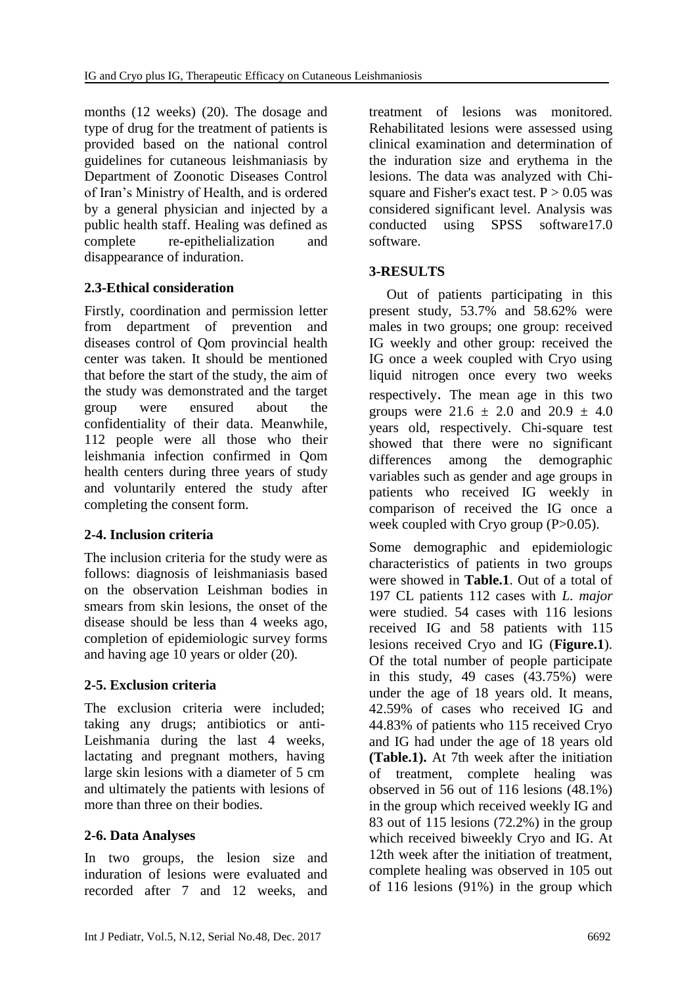months (12 weeks) (20). The dosage and type of drug for the treatment of patients is provided based on the national control guidelines for cutaneous leishmaniasis by Department of Zoonotic Diseases Control of Iran's Ministry of Health, and is ordered by a general physician and injected by a public health staff. Healing was defined as complete re-epithelialization and disappearance of induration.

# **2.3-Ethical consideration**

Firstly, coordination and permission letter from department of prevention and diseases control of Qom provincial health center was taken. It should be mentioned that before the start of the study, the aim of the study was demonstrated and the target group were ensured about the confidentiality of their data. Meanwhile, 112 people were all those who their leishmania infection confirmed in Qom health centers during three years of study and voluntarily entered the study after completing the consent form.

# **2-4. Inclusion criteria**

The inclusion criteria for the study were as follows: diagnosis of leishmaniasis based on the observation Leishman bodies in smears from skin lesions, the onset of the disease should be less than 4 weeks ago, completion of epidemiologic survey forms and having age 10 years or older (20).

### **2-5. Exclusion criteria**

The exclusion criteria were included; taking any drugs; antibiotics or anti-Leishmania during the last 4 weeks, lactating and pregnant mothers, having large skin lesions with a diameter of 5 cm and ultimately the patients with lesions of more than three on their bodies.

### **2-6. Data Analyses**

In two groups, the lesion size and induration of lesions were evaluated and recorded after 7 and 12 weeks, and treatment of lesions was monitored. Rehabilitated lesions were assessed using clinical examination and determination of the induration size and erythema in the lesions. The data was analyzed with Chisquare and Fisher's exact test.  $P > 0.05$  was considered significant level. Analysis was conducted using SPSS software17.0 software.

### **3-RESULTS**

 Out of patients participating in this present study, 53.7% and 58.62% were males in two groups; one group: received IG weekly and other group: received the IG once a week coupled with Cryo using liquid nitrogen once every two weeks respectively. The mean age in this two groups were  $21.6 \pm 2.0$  and  $20.9 \pm 4.0$ years old, respectively. Chi-square test showed that there were no significant differences among the demographic variables such as gender and age groups in patients who received IG weekly in comparison of received the IG once a week coupled with Cryo group (P>0.05).

Some demographic and epidemiologic characteristics of patients in two groups were showed in **Table.1**. Out of a total of 197 CL patients 112 cases with *L. major* were studied. 54 cases with 116 lesions received IG and 58 patients with 115 lesions received Cryo and IG (**Figure.1**). Of the total number of people participate in this study, 49 cases (43.75%) were under the age of 18 years old. It means, 42.59% of cases who received IG and 44.83% of patients who 115 received Cryo and IG had under the age of 18 years old **(Table.1).** At 7th week after the initiation of treatment, complete healing was observed in 56 out of 116 lesions (48.1%) in the group which received weekly IG and 83 out of 115 lesions (72.2%) in the group which received biweekly Cryo and IG. At 12th week after the initiation of treatment, complete healing was observed in 105 out of 116 lesions (91%) in the group which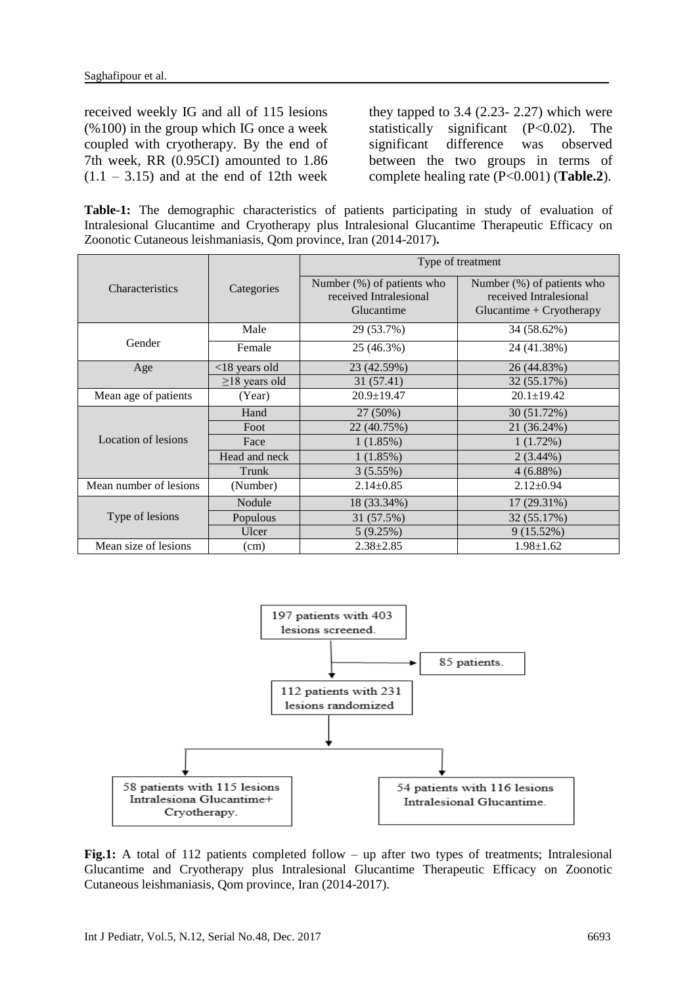received weekly IG and all of 115 lesions (%100) in the group which IG once a week coupled with cryotherapy. By the end of 7th week, RR (0.95CI) amounted to 1.86  $(1.1 - 3.15)$  and at the end of 12th week they tapped to  $3.4$  (2.23- 2.27) which were statistically significant (P<0.02). The significant difference was observed between the two groups in terms of complete healing rate (P<0.001) (**Table.2**).

**Table-1:** The demographic characteristics of patients participating in study of [evaluation of](https://www.google.com/url?sa=t&rct=j&q=&esrc=s&source=web&cd=9&cad=rja&uact=8&ved=0ahUKEwjKz5Dq7bfUAhXQaVAKHQ9WAVsQFghhMAg&url=http%3A%2F%2Frcm.mums.ac.ir%2Farticle_2794.html&usg=AFQjCNHpdTH8QkMV0adDnPPMb2B4TA_kjQ) Intralesional Glucantime and Cryotherapy plus Intralesional Glucantime Therapeutic Efficacy on Zoonotic Cutaneous leishmaniasis, Qom province, Iran (2014-2017)**.**

|                            |                     | Type of treatment                                                  |                                                                                       |  |  |
|----------------------------|---------------------|--------------------------------------------------------------------|---------------------------------------------------------------------------------------|--|--|
| <b>Characteristics</b>     | Categories          | Number (%) of patients who<br>received Intralesional<br>Glucantime | Number $(\%)$ of patients who<br>received Intralesional<br>$Glucantine + Cryptherapy$ |  |  |
|                            | Male                | 29 (53.7%)                                                         | 34 (58.62%)                                                                           |  |  |
| Gender                     | Female              | 25 (46.3%)                                                         | 24 (41.38%)                                                                           |  |  |
| Age                        | $<$ 18 years old    | 23 (42.59%)                                                        | 26 (44.83%)                                                                           |  |  |
|                            | $\geq$ 18 years old | 31 (57.41)                                                         | 32 (55.17%)                                                                           |  |  |
| Mean age of patients       | (Year)              | $20.9 + 19.47$                                                     | $20.1 \pm 19.42$                                                                      |  |  |
|                            | Hand                | 27 (50%)                                                           | 30 (51.72%)                                                                           |  |  |
| <b>Location of lesions</b> | Foot                | 22 (40.75%)                                                        | 21 (36.24%)                                                                           |  |  |
|                            | Face                | 1(1.85%)                                                           | 1(1.72%)                                                                              |  |  |
|                            | Head and neck       | 1(1.85%)                                                           | $2(3.44\%)$                                                                           |  |  |
|                            | Trunk               | 3(5.55%)                                                           | $4(6.88\%)$                                                                           |  |  |
| Mean number of lesions     | (Number)            | $2.14 \pm 0.85$                                                    | $2.12 \pm 0.94$                                                                       |  |  |
|                            | Nodule              | 18 (33.34%)                                                        | 17 (29.31%)                                                                           |  |  |
| Type of lesions            | Populous            | 31 (57.5%)                                                         | 32 (55.17%)                                                                           |  |  |
|                            | Ulcer               | 5(9.25%)                                                           | 9(15.52%)                                                                             |  |  |
| Mean size of lesions       | (cm)                | $2.38 \pm 2.85$                                                    | $1.98 \pm 1.62$                                                                       |  |  |



Fig.1: A total of 112 patients completed follow – up after two types of treatments; Intralesional Glucantime and Cryotherapy plus Intralesional Glucantime Therapeutic Efficacy on Zoonotic Cutaneous leishmaniasis, Qom province, Iran (2014-2017).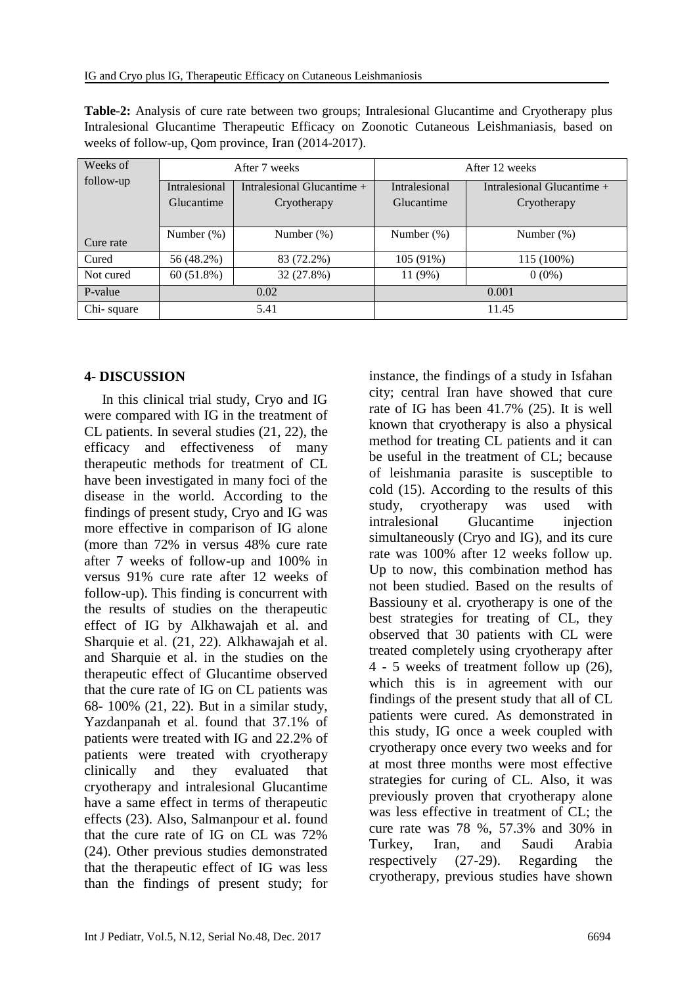| <b>Table-2:</b> Analysis of cure rate between two groups; Intralesional Glucantime and Cryotherapy plus |  |  |  |  |  |  |                                                                                             |  |  |
|---------------------------------------------------------------------------------------------------------|--|--|--|--|--|--|---------------------------------------------------------------------------------------------|--|--|
|                                                                                                         |  |  |  |  |  |  | Intralesional Glucantime Therapeutic Efficacy on Zoonotic Cutaneous Leishmaniasis, based on |  |  |
| weeks of follow-up, Qom province, Iran (2014-2017).                                                     |  |  |  |  |  |  |                                                                                             |  |  |

| Weeks of   |                                             | After 7 weeks | After 12 weeks |                              |  |
|------------|---------------------------------------------|---------------|----------------|------------------------------|--|
| follow-up  | Intralesional<br>Intralesional Glucantime + |               | Intralesional  | Intralesional Glucantime $+$ |  |
|            | Glucantime                                  | Cryotherapy   | Glucantime     | Cryotherapy                  |  |
| Cure rate  | Number $(\%)$                               | Number $(\%)$ | Number $(\%)$  | Number $(\%)$                |  |
| Cured      | 56 (48.2%)                                  | 83 (72.2%)    | $105(91\%)$    | 115 (100%)                   |  |
| Not cured  | 60(51.8%)                                   | 32 (27.8%)    | 11 (9%)        | $0(0\%)$                     |  |
| P-value    | 0.02                                        |               | 0.001          |                              |  |
| Chi-square | 5.41                                        |               | 11.45          |                              |  |

### **4- DISCUSSION**

 In this clinical trial study, Cryo and IG were compared with IG in the treatment of CL patients. In several studies (21, 22), the efficacy and effectiveness of many therapeutic methods for treatment of CL have been investigated in many foci of the disease in the world. According to the findings of present study, Cryo and IG was more effective in comparison of IG alone (more than 72% in versus 48% cure rate after 7 weeks of follow-up and 100% in versus 91% cure rate after 12 weeks of follow-up). This finding is concurrent with the results of studies on the therapeutic effect of IG by Alkhawajah et al. and Sharquie et al. (21, 22). Alkhawajah et al. and Sharquie et al. in the studies on the therapeutic effect of Glucantime observed that the cure rate of IG on CL patients was 68- 100% (21, 22). But in a similar study, Yazdanpanah et al. found that 37.1% of patients were treated with IG and 22.2% of patients were treated with cryotherapy clinically and they evaluated that cryotherapy and intralesional Glucantime have a same effect in terms of therapeutic effects (23). Also, Salmanpour et al. found that the cure rate of IG on CL was 72% (24). Other previous studies demonstrated that the therapeutic effect of IG was less than the findings of present study; for instance, the findings of a study in Isfahan city; central Iran have showed that cure rate of IG has been 41.7% (25). It is well known that cryotherapy is also a physical method for treating CL patients and it can be useful in the treatment of CL; because of leishmania parasite is susceptible to cold (15). According to the results of this study, cryotherapy was used with intralesional Glucantime injection simultaneously (Cryo and IG), and its cure rate was 100% after 12 weeks follow up. Up to now, this combination method has not been studied. Based on the results of Bassiouny et al. cryotherapy is one of the best strategies for treating of CL, they observed that 30 patients with CL were treated completely using cryotherapy after 4 - 5 weeks of treatment follow up (26), which this is in agreement with our findings of the present study that all of CL patients were cured. As demonstrated in this study, IG once a week coupled with cryotherapy once every two weeks and for at most three months were most effective strategies for curing of CL. Also, it was previously proven that cryotherapy alone was less effective in treatment of CL; the cure rate was 78 %, 57.3% and 30% in Turkey, Iran, and Saudi Arabia respectively (27-29). Regarding the cryotherapy, previous studies have shown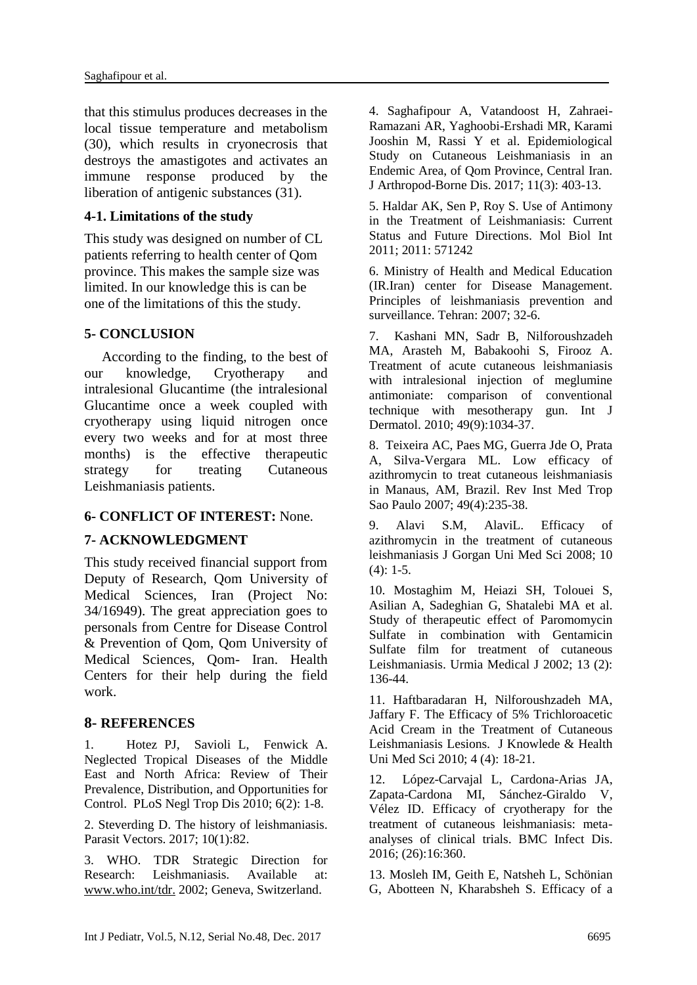that this stimulus produces decreases in the local tissue temperature and metabolism (30), which results in cryonecrosis that destroys the amastigotes and activates an immune response produced by the liberation of antigenic substances (31).

### **4-1. Limitations of the study**

This study was designed on number of CL patients referring to health center of Qom province. This makes the sample size was limited. In our knowledge this is can be one of the limitations of this the study.

#### **5- CONCLUSION**

 According to the finding, to the best of our knowledge, Cryotherapy and intralesional Glucantime (the intralesional Glucantime once a week coupled with cryotherapy using liquid nitrogen once every two weeks and for at most three months) is the effective therapeutic strategy for treating Cutaneous Leishmaniasis patients.

### **6- CONFLICT OF INTEREST:** None.

### **7- ACKNOWLEDGMENT**

This study received financial support from Deputy of Research, Qom University of Medical Sciences, Iran (Project No: 34/16949). The great appreciation goes to personals from Centre for Disease Control & Prevention of Qom, Qom University of Medical Sciences, Qom- Iran. Health Centers for their help during the field work.

### **8- REFERENCES**

1. [Hotez](http://www.ncbi.nlm.nih.gov/sites/entrez?cmd=search&db=PubMed&term=%20Hotez%2BPJ%5bauth%5d) PJ, [Savioli](http://www.ncbi.nlm.nih.gov/sites/entrez?cmd=search&db=PubMed&term=%20Savioli%2BL%5bauth%5d) L, [Fenwick](http://www.ncbi.nlm.nih.gov/sites/entrez?cmd=search&db=PubMed&term=%20Fenwick%2BA%5bauth%5d) A. Neglected Tropical Diseases of the Middle East and North Africa: Review of Their Prevalence, Distribution, and Opportunities for Control. PLoS Negl Trop Dis 2010; 6(2): 1-8.

2. [Steverding D.](https://www.ncbi.nlm.nih.gov/pubmed/?term=Steverding%20D%5BAuthor%5D&cauthor=true&cauthor_uid=28202044) The history of leishmaniasis. [Parasit Vectors.](https://www.ncbi.nlm.nih.gov/pubmed/28202044) 2017; 10(1):82.

3. WHO. TDR Strategic Direction for Research: Leishmaniasis. Available at: [www.who.int/tdr.](http://www.who.int/tdr) 2002; Geneva, Switzerland.

4. Saghafipour A, Vatandoost H, Zahraei-Ramazani AR, Yaghoobi-Ershadi MR, Karami Jooshin M, Rassi Y et al. Epidemiological Study on Cutaneous Leishmaniasis in an Endemic Area, of Qom Province, Central Iran. J Arthropod-Borne Dis. 2017; 11(3): 403-13.

5. Haldar AK, Sen P, Roy S. Use of Antimony in the Treatment of Leishmaniasis: Current Status and Future Directions. Mol Biol Int 2011; 2011: 571242

6. Ministry of Health and Medical Education (IR.Iran) center for Disease Management. Principles of leishmaniasis prevention and surveillance. Tehran: 2007; 32-6.

7. [Kashani MN,](https://www.ncbi.nlm.nih.gov/pubmed/?term=Kashani%20MN%5BAuthor%5D&cauthor=true&cauthor_uid=20883265) [Sadr B,](https://www.ncbi.nlm.nih.gov/pubmed/?term=Sadr%20B%5BAuthor%5D&cauthor=true&cauthor_uid=20883265) [Nilforoushzadeh](https://www.ncbi.nlm.nih.gov/pubmed/?term=Nilforoushzadeh%20MA%5BAuthor%5D&cauthor=true&cauthor_uid=20883265)  [MA,](https://www.ncbi.nlm.nih.gov/pubmed/?term=Nilforoushzadeh%20MA%5BAuthor%5D&cauthor=true&cauthor_uid=20883265) [Arasteh M,](https://www.ncbi.nlm.nih.gov/pubmed/?term=Arasteh%20M%5BAuthor%5D&cauthor=true&cauthor_uid=20883265) [Babakoohi S,](https://www.ncbi.nlm.nih.gov/pubmed/?term=Babakoohi%20S%5BAuthor%5D&cauthor=true&cauthor_uid=20883265) [Firooz A.](https://www.ncbi.nlm.nih.gov/pubmed/?term=Firooz%20A%5BAuthor%5D&cauthor=true&cauthor_uid=20883265) Treatment of acute cutaneous leishmaniasis with intralesional injection of meglumine antimoniate: comparison of conventional technique with mesotherapy gun. [Int J](https://www.ncbi.nlm.nih.gov/pubmed/20883265)  [Dermatol.](https://www.ncbi.nlm.nih.gov/pubmed/20883265) 2010; 49(9):1034-37.

8. Teixeira AC, Paes MG, Guerra Jde O, Prata A, Silva-Vergara ML. Low efficacy of azithromycin to treat cutaneous leishmaniasis in Manaus, AM, Brazil. Rev Inst Med Trop Sao Paulo 2007; 49(4):235-38.

9. Alavi S.M, AlaviL. Efficacy of azithromycin in the treatment of cutaneous leishmaniasis J Gorgan Uni Med Sci 2008; 10  $(4): 1-5.$ 

10. Mostaghim M, Heiazi SH, Tolouei S, Asilian A, Sadeghian G, Shatalebi MA et al. Study of therapeutic effect of Paromomycin Sulfate in combination with Gentamicin Sulfate film for treatment of cutaneous Leishmaniasis. Urmia Medical J 2002; 13 (2): 136-44.

11. Haftbaradaran H, Nilforoushzadeh MA, Jaffary F. The Efficacy of 5% Trichloroacetic Acid Cream in the Treatment of Cutaneous Leishmaniasis Lesions. J Knowlede & Health Uni Med Sci 2010; 4 (4): 18-21.

12. [López-Carvajal L,](https://www.ncbi.nlm.nih.gov/pubmed/?term=L%C3%B3pez-Carvajal%20L%5BAuthor%5D&cauthor=true&cauthor_uid=27456008) [Cardona-Arias JA,](https://www.ncbi.nlm.nih.gov/pubmed/?term=Cardona-Arias%20JA%5BAuthor%5D&cauthor=true&cauthor_uid=27456008) [Zapata-Cardona MI,](https://www.ncbi.nlm.nih.gov/pubmed/?term=Zapata-Cardona%20MI%5BAuthor%5D&cauthor=true&cauthor_uid=27456008) [Sánchez-Giraldo V,](https://www.ncbi.nlm.nih.gov/pubmed/?term=S%C3%A1nchez-Giraldo%20V%5BAuthor%5D&cauthor=true&cauthor_uid=27456008) [Vélez ID.](https://www.ncbi.nlm.nih.gov/pubmed/?term=V%C3%A9lez%20ID%5BAuthor%5D&cauthor=true&cauthor_uid=27456008) Efficacy of cryotherapy for the treatment of cutaneous leishmaniasis: metaanalyses of clinical trials. [BMC Infect Dis.](https://www.ncbi.nlm.nih.gov/pubmed/27456008) 2016; (26):16:360.

13. [Mosleh IM,](https://www.ncbi.nlm.nih.gov/pubmed/?term=Mosleh%20IM%5BAuthor%5D&cauthor=true&cauthor_uid=18249466) [Geith E,](https://www.ncbi.nlm.nih.gov/pubmed/?term=Geith%20E%5BAuthor%5D&cauthor=true&cauthor_uid=18249466) [Natsheh L,](https://www.ncbi.nlm.nih.gov/pubmed/?term=Natsheh%20L%5BAuthor%5D&cauthor=true&cauthor_uid=18249466) [Schönian](https://www.ncbi.nlm.nih.gov/pubmed/?term=Sch%C3%B6nian%20G%5BAuthor%5D&cauthor=true&cauthor_uid=18249466)  [G,](https://www.ncbi.nlm.nih.gov/pubmed/?term=Sch%C3%B6nian%20G%5BAuthor%5D&cauthor=true&cauthor_uid=18249466) [Abotteen N,](https://www.ncbi.nlm.nih.gov/pubmed/?term=Abotteen%20N%5BAuthor%5D&cauthor=true&cauthor_uid=18249466) [Kharabsheh S.](https://www.ncbi.nlm.nih.gov/pubmed/?term=Kharabsheh%20S%5BAuthor%5D&cauthor=true&cauthor_uid=18249466) Efficacy of a